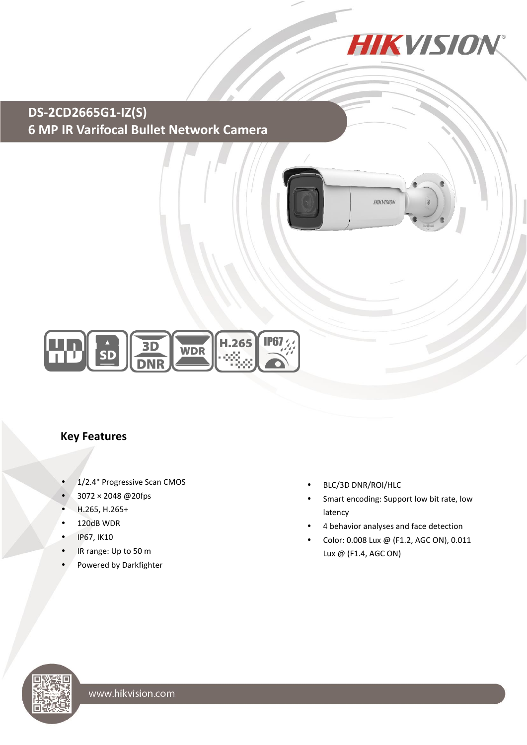

# **DS-2CD2665G1-IZ(S) 6 MP IR Varifocal Bullet Network Camera**



#### **Key Features**

- 1/2.4" Progressive Scan CMOS
- 3072 × 2048 @20fps
- H.265, H.265+
- 120dB WDR
- IP67, IK10
- IR range: Up to 50 m
- Powered by Darkfighter
- BLC/3D DNR/ROI/HLC
- Smart encoding: Support low bit rate, low latency
- 4 behavior analyses and face detection

**HIKVISION** 

 Color: 0.008 Lux @ (F1.2, AGC ON), 0.011 Lux @ (F1.4, AGC ON)

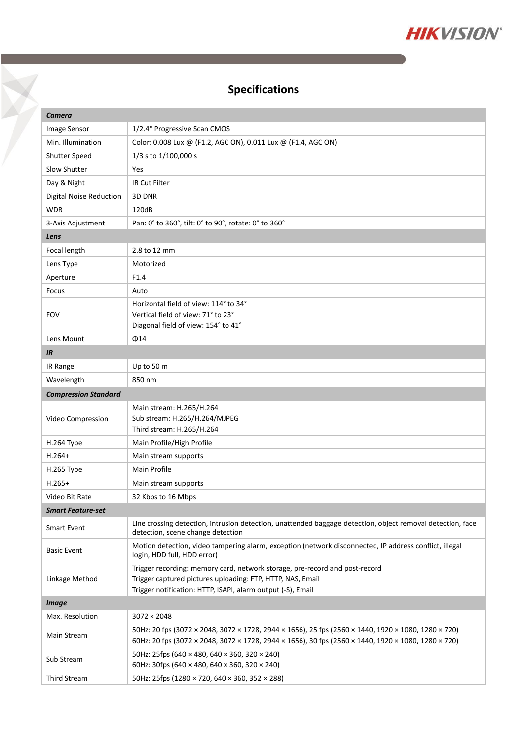

# **Specifications**

X

| Camera                         |                                                                                                                                                                                                            |  |
|--------------------------------|------------------------------------------------------------------------------------------------------------------------------------------------------------------------------------------------------------|--|
| Image Sensor                   | 1/2.4" Progressive Scan CMOS                                                                                                                                                                               |  |
| Min. Illumination              | Color: 0.008 Lux @ (F1.2, AGC ON), 0.011 Lux @ (F1.4, AGC ON)                                                                                                                                              |  |
| <b>Shutter Speed</b>           | 1/3 s to 1/100,000 s                                                                                                                                                                                       |  |
| Slow Shutter                   | Yes                                                                                                                                                                                                        |  |
| Day & Night                    | <b>IR Cut Filter</b>                                                                                                                                                                                       |  |
| <b>Digital Noise Reduction</b> | 3D DNR                                                                                                                                                                                                     |  |
| <b>WDR</b>                     | 120dB                                                                                                                                                                                                      |  |
| 3-Axis Adjustment              | Pan: 0° to 360°, tilt: 0° to 90°, rotate: 0° to 360°                                                                                                                                                       |  |
| Lens                           |                                                                                                                                                                                                            |  |
| Focal length                   | 2.8 to 12 mm                                                                                                                                                                                               |  |
| Lens Type                      | Motorized                                                                                                                                                                                                  |  |
| Aperture                       | F1.4                                                                                                                                                                                                       |  |
| Focus                          | Auto                                                                                                                                                                                                       |  |
|                                | Horizontal field of view: 114° to 34°                                                                                                                                                                      |  |
| <b>FOV</b>                     | Vertical field of view: 71° to 23°                                                                                                                                                                         |  |
|                                | Diagonal field of view: 154° to 41°                                                                                                                                                                        |  |
| Lens Mount                     | $\Phi$ 14                                                                                                                                                                                                  |  |
| IR                             | Up to 50 m                                                                                                                                                                                                 |  |
| IR Range                       | 850 nm                                                                                                                                                                                                     |  |
| Wavelength                     |                                                                                                                                                                                                            |  |
| <b>Compression Standard</b>    |                                                                                                                                                                                                            |  |
| Video Compression              | Main stream: H.265/H.264<br>Sub stream: H.265/H.264/MJPEG                                                                                                                                                  |  |
|                                | Third stream: H.265/H.264                                                                                                                                                                                  |  |
| H.264 Type                     | Main Profile/High Profile                                                                                                                                                                                  |  |
| $H.264+$                       | Main stream supports                                                                                                                                                                                       |  |
| <b>H.265 Type</b>              | Main Profile                                                                                                                                                                                               |  |
| $H.265+$                       | Main stream supports                                                                                                                                                                                       |  |
| Video Bit Rate                 | 32 Kbps to 16 Mbps                                                                                                                                                                                         |  |
| <b>Smart Feature-set</b>       |                                                                                                                                                                                                            |  |
| <b>Smart Event</b>             | Line crossing detection, intrusion detection, unattended baggage detection, object removal detection, face<br>detection, scene change detection                                                            |  |
| <b>Basic Event</b>             | Motion detection, video tampering alarm, exception (network disconnected, IP address conflict, illegal<br>login, HDD full, HDD error)                                                                      |  |
|                                | Trigger recording: memory card, network storage, pre-record and post-record                                                                                                                                |  |
| Linkage Method                 | Trigger captured pictures uploading: FTP, HTTP, NAS, Email                                                                                                                                                 |  |
|                                | Trigger notification: HTTP, ISAPI, alarm output (-S), Email                                                                                                                                                |  |
| <b>Image</b>                   |                                                                                                                                                                                                            |  |
| Max. Resolution                | $3072 \times 2048$                                                                                                                                                                                         |  |
| Main Stream                    | 50Hz: 20 fps (3072 × 2048, 3072 × 1728, 2944 × 1656), 25 fps (2560 × 1440, 1920 × 1080, 1280 × 720)<br>60Hz: 20 fps (3072 × 2048, 3072 × 1728, 2944 × 1656), 30 fps (2560 × 1440, 1920 × 1080, 1280 × 720) |  |
| Sub Stream                     | 50Hz: 25fps (640 × 480, 640 × 360, 320 × 240)<br>60Hz: 30fps (640 × 480, 640 × 360, 320 × 240)                                                                                                             |  |
| <b>Third Stream</b>            | 50Hz: 25fps (1280 × 720, 640 × 360, 352 × 288)                                                                                                                                                             |  |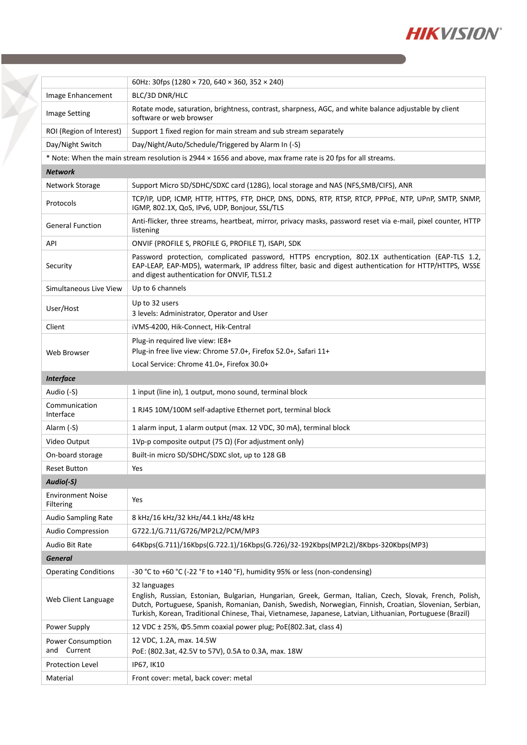

|                                            | 60Hz: 30fps (1280 × 720, 640 × 360, 352 × 240)                                                                                                                                                                                                                                                                                                     |
|--------------------------------------------|----------------------------------------------------------------------------------------------------------------------------------------------------------------------------------------------------------------------------------------------------------------------------------------------------------------------------------------------------|
| Image Enhancement                          | BLC/3D DNR/HLC                                                                                                                                                                                                                                                                                                                                     |
| <b>Image Setting</b>                       | Rotate mode, saturation, brightness, contrast, sharpness, AGC, and white balance adjustable by client<br>software or web browser                                                                                                                                                                                                                   |
| ROI (Region of Interest)                   | Support 1 fixed region for main stream and sub stream separately                                                                                                                                                                                                                                                                                   |
| Day/Night Switch                           | Day/Night/Auto/Schedule/Triggered by Alarm In (-S)                                                                                                                                                                                                                                                                                                 |
|                                            | * Note: When the main stream resolution is 2944 × 1656 and above, max frame rate is 20 fps for all streams.                                                                                                                                                                                                                                        |
| <b>Network</b>                             |                                                                                                                                                                                                                                                                                                                                                    |
| Network Storage                            | Support Micro SD/SDHC/SDXC card (128G), local storage and NAS (NFS, SMB/CIFS), ANR                                                                                                                                                                                                                                                                 |
| Protocols                                  | TCP/IP, UDP, ICMP, HTTP, HTTPS, FTP, DHCP, DNS, DDNS, RTP, RTSP, RTCP, PPPOE, NTP, UPnP, SMTP, SNMP,<br>IGMP, 802.1X, QoS, IPv6, UDP, Bonjour, SSL/TLS                                                                                                                                                                                             |
| <b>General Function</b>                    | Anti-flicker, three streams, heartbeat, mirror, privacy masks, password reset via e-mail, pixel counter, HTTP<br>listening                                                                                                                                                                                                                         |
| API                                        | ONVIF (PROFILE S, PROFILE G, PROFILE T), ISAPI, SDK                                                                                                                                                                                                                                                                                                |
| Security                                   | Password protection, complicated password, HTTPS encryption, 802.1X authentication (EAP-TLS 1.2,<br>EAP-LEAP, EAP-MD5), watermark, IP address filter, basic and digest authentication for HTTP/HTTPS, WSSE<br>and digest authentication for ONVIF, TLS1.2                                                                                          |
| Simultaneous Live View                     | Up to 6 channels                                                                                                                                                                                                                                                                                                                                   |
| User/Host                                  | Up to 32 users<br>3 levels: Administrator, Operator and User                                                                                                                                                                                                                                                                                       |
| Client                                     | iVMS-4200, Hik-Connect, Hik-Central                                                                                                                                                                                                                                                                                                                |
| Web Browser                                | Plug-in required live view: IE8+<br>Plug-in free live view: Chrome 57.0+, Firefox 52.0+, Safari 11+                                                                                                                                                                                                                                                |
|                                            | Local Service: Chrome 41.0+, Firefox 30.0+                                                                                                                                                                                                                                                                                                         |
| <b>Interface</b>                           |                                                                                                                                                                                                                                                                                                                                                    |
| Audio (-S)                                 | 1 input (line in), 1 output, mono sound, terminal block                                                                                                                                                                                                                                                                                            |
| Communication<br>Interface                 | 1 RJ45 10M/100M self-adaptive Ethernet port, terminal block                                                                                                                                                                                                                                                                                        |
| Alarm (-S)                                 | 1 alarm input, 1 alarm output (max. 12 VDC, 30 mA), terminal block                                                                                                                                                                                                                                                                                 |
| Video Output                               | 1Vp-p composite output (75 $\Omega$ ) (For adjustment only)                                                                                                                                                                                                                                                                                        |
| On-board storage                           | Built-in micro SD/SDHC/SDXC slot, up to 128 GB                                                                                                                                                                                                                                                                                                     |
| <b>Reset Button</b>                        | Yes                                                                                                                                                                                                                                                                                                                                                |
| Audio(-S)                                  |                                                                                                                                                                                                                                                                                                                                                    |
| <b>Environment Noise</b><br>Filtering      | Yes                                                                                                                                                                                                                                                                                                                                                |
| Audio Sampling Rate                        | 8 kHz/16 kHz/32 kHz/44.1 kHz/48 kHz                                                                                                                                                                                                                                                                                                                |
| <b>Audio Compression</b>                   | G722.1/G.711/G726/MP2L2/PCM/MP3                                                                                                                                                                                                                                                                                                                    |
| Audio Bit Rate                             | 64Kbps(G.711)/16Kbps(G.722.1)/16Kbps(G.726)/32-192Kbps(MP2L2)/8Kbps-320Kbps(MP3)                                                                                                                                                                                                                                                                   |
| <b>General</b>                             |                                                                                                                                                                                                                                                                                                                                                    |
| <b>Operating Conditions</b>                | -30 °C to +60 °C (-22 °F to +140 °F), humidity 95% or less (non-condensing)                                                                                                                                                                                                                                                                        |
| Web Client Language                        | 32 languages<br>English, Russian, Estonian, Bulgarian, Hungarian, Greek, German, Italian, Czech, Slovak, French, Polish,<br>Dutch, Portuguese, Spanish, Romanian, Danish, Swedish, Norwegian, Finnish, Croatian, Slovenian, Serbian,<br>Turkish, Korean, Traditional Chinese, Thai, Vietnamese, Japanese, Latvian, Lithuanian, Portuguese (Brazil) |
| Power Supply                               | 12 VDC ± 25%, Ф5.5mm coaxial power plug; PoE(802.3at, class 4)                                                                                                                                                                                                                                                                                     |
| <b>Power Consumption</b><br>Current<br>and | 12 VDC, 1.2A, max. 14.5W<br>PoE: (802.3at, 42.5V to 57V), 0.5A to 0.3A, max. 18W                                                                                                                                                                                                                                                                   |
| <b>Protection Level</b>                    | IP67, IK10                                                                                                                                                                                                                                                                                                                                         |
| Material                                   | Front cover: metal, back cover: metal                                                                                                                                                                                                                                                                                                              |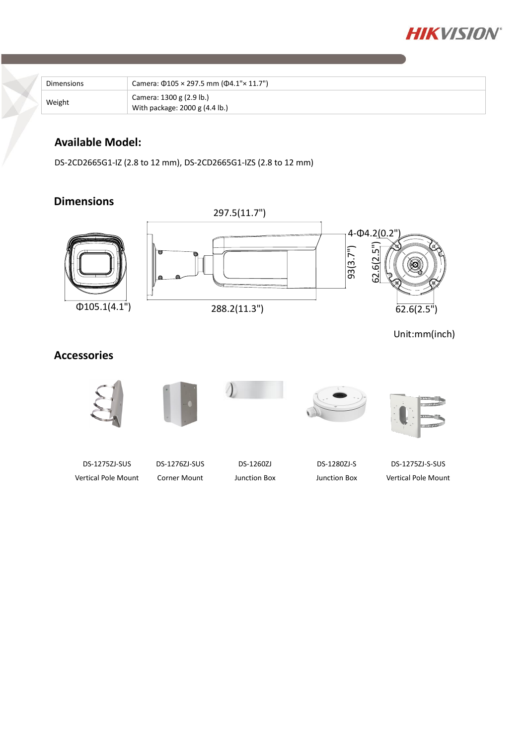

| Dimensions | Camera: $\Phi$ 105 × 297.5 mm ( $\Phi$ 4.1"× 11.7")        |
|------------|------------------------------------------------------------|
| Weight     | Camera: 1300 g (2.9 lb.)<br>With package: 2000 g (4.4 lb.) |

### **Available Model:**

DS-2CD2665G1-IZ (2.8 to 12 mm), DS-2CD2665G1-IZS (2.8 to 12 mm)

### **Dimensions**